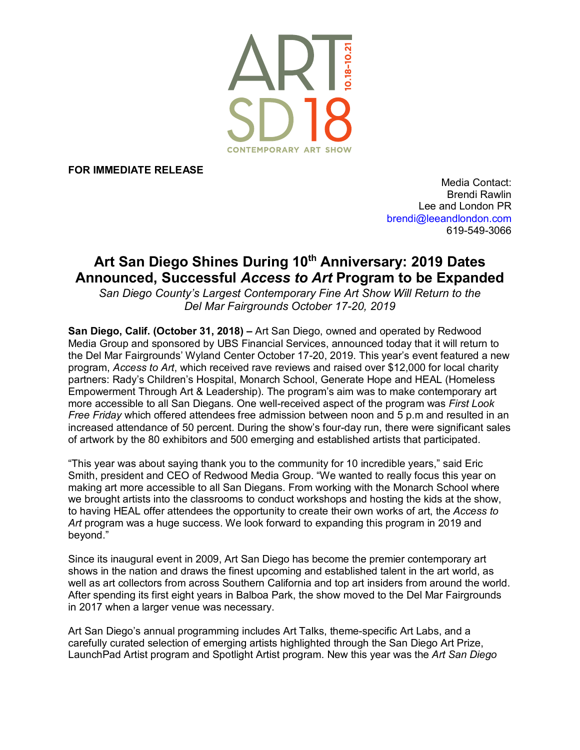

**FOR IMMEDIATE RELEASE**

Media Contact: Brendi Rawlin Lee and London PR brendi@leeandlondon.com 619-549-3066

## Art San Diego Shines During 10<sup>th</sup> Anniversary: 2019 Dates **Announced, Successful** *Access to Art* **Program to be Expanded**

*San Diego County's Largest Contemporary Fine Art Show Will Return to the Del Mar Fairgrounds October 17-20, 2019*

**San Diego, Calif. (October 31, 2018) –** Art San Diego, owned and operated by Redwood Media Group and sponsored by UBS Financial Services, announced today that it will return to the Del Mar Fairgrounds' Wyland Center October 17-20, 2019. This year's event featured a new program, *Access to Art*, which received rave reviews and raised over \$12,000 for local charity partners: Rady's Children's Hospital, Monarch School, Generate Hope and HEAL (Homeless Empowerment Through Art & Leadership). The program's aim was to make contemporary art more accessible to all San Diegans. One well-received aspect of the program was *First Look Free Friday* which offered attendees free admission between noon and 5 p.m and resulted in an increased attendance of 50 percent. During the show's four-day run, there were significant sales of artwork by the 80 exhibitors and 500 emerging and established artists that participated.

"This year was about saying thank you to the community for 10 incredible years," said Eric Smith, president and CEO of Redwood Media Group. "We wanted to really focus this year on making art more accessible to all San Diegans. From working with the Monarch School where we brought artists into the classrooms to conduct workshops and hosting the kids at the show, to having HEAL offer attendees the opportunity to create their own works of art, the *Access to*  Art program was a huge success. We look forward to expanding this program in 2019 and beyond."

Since its inaugural event in 2009, Art San Diego has become the premier contemporary art shows in the nation and draws the finest upcoming and established talent in the art world, as well as art collectors from across Southern California and top art insiders from around the world. After spending its first eight years in Balboa Park, the show moved to the Del Mar Fairgrounds in 2017 when a larger venue was necessary.

Art San Diego's annual programming includes Art Talks, theme-specific Art Labs, and a carefully curated selection of emerging artists highlighted through the San Diego Art Prize, LaunchPad Artist program and Spotlight Artist program. New this year was the *Art San Diego*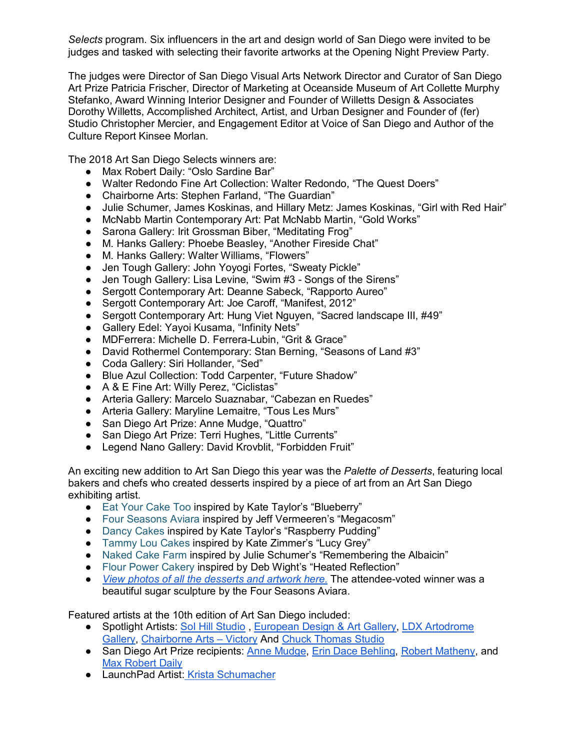*Selects* program. Six influencers in the art and design world of San Diego were invited to be judges and tasked with selecting their favorite artworks at the Opening Night Preview Party.

The judges were Director of San Diego Visual Arts Network Director and Curator of San Diego Art Prize Patricia Frischer, Director of Marketing at Oceanside Museum of Art Collette Murphy Stefanko, Award Winning Interior Designer and Founder of Willetts Design & Associates Dorothy Willetts, Accomplished Architect, Artist, and Urban Designer and Founder of (fer) Studio Christopher Mercier, and Engagement Editor at Voice of San Diego and Author of the Culture Report Kinsee Morlan.

The 2018 Art San Diego Selects winners are:

- Max Robert Daily: "Oslo Sardine Bar"
- Walter Redondo Fine Art Collection: Walter Redondo, "The Quest Doers"
- Chairborne Arts: Stephen Farland, "The Guardian"
- Julie Schumer, James Koskinas, and Hillary Metz: James Koskinas, "Girl with Red Hair"
- McNabb Martin Contemporary Art: Pat McNabb Martin, "Gold Works"
- Sarona Gallery: Irit Grossman Biber, "Meditating Frog"
- M. Hanks Gallery: Phoebe Beasley, "Another Fireside Chat"
- M. Hanks Gallery: Walter Williams, "Flowers"
- Jen Tough Gallery: John Yoyogi Fortes, "Sweaty Pickle"
- Jen Tough Gallery: Lisa Levine, "Swim #3 Songs of the Sirens"
- Sergott Contemporary Art: Deanne Sabeck, "Rapporto Aureo"
- Sergott Contemporary Art: Joe Caroff, "Manifest, 2012"
- Sergott Contemporary Art: Hung Viet Nguyen, "Sacred landscape III, #49"
- Gallery Edel: Yayoi Kusama, "Infinity Nets"
- MDFerrera: Michelle D. Ferrera-Lubin, "Grit & Grace"
- David Rothermel Contemporary: Stan Berning, "Seasons of Land #3"
- Coda Gallery: Siri Hollander, "Sed"
- Blue Azul Collection: Todd Carpenter, "Future Shadow"
- A & E Fine Art: Willy Perez, "Ciclistas"
- Arteria Gallery: Marcelo Suaznabar, "Cabezan en Ruedes"
- Arteria Gallery: Maryline Lemaitre, "Tous Les Murs"
- San Diego Art Prize: Anne Mudge, "Quattro"
- San Diego Art Prize: Terri Hughes, "Little Currents"
- Legend Nano Gallery: David Krovblit, "Forbidden Fruit"

An exciting new addition to Art San Diego this year was the *Palette of Desserts*, featuring local bakers and chefs who created desserts inspired by a piece of art from an Art San Diego exhibiting artist.

- [Eat Your Cake Too](http://t.sidekickopen05.com/s1t/c/5/f18dQhb0S7lC8dDMPbW2n0x6l2B9nMJW7t5XYg7fRFVHVQBpk44Y95FgW7gs3QC56dQgXf2qQMhg02?t=http%3A%2F%2Fwww.eatyourcaketoo.net&si=6398788161765376&pi=96f8d08a-6cc2-44a8-9360-72dd47d17bcd) inspired by Kate Taylor's "Blueberry"
- [Four Seasons Aviara](http://t.sidekickopen05.com/s1t/c/5/f18dQhb0S7lC8dDMPbW2n0x6l2B9nMJW7t5XYg7fRFVHVQBpk44Y95FgW7gs3QC56dQgXf2qQMhg02?t=https%3A%2F%2Fwww.fourseasons.com%2Fcontent%2Ffourseasons%2Fen%2Fproperties%2Fnorthsandiego%2Flanding_pages%2Fppc%2Flanding_3.html%3Fgclid%3DEAIaIQobChMIxNiLzvfo3QIVA8ZkCh097QHGEAAYASAAEgL87_D_BwE%26source%3Dgaw18aviaS01%26s_kwcid%3DAL!4732!3!285767399926!e!!g!!four%2520seasons%2520aviara&si=6398788161765376&pi=96f8d08a-6cc2-44a8-9360-72dd47d17bcd) inspired by Jeff Vermeeren's "Megacosm"
- [Dancy Cakes](http://t.sidekickopen05.com/s1t/c/5/f18dQhb0S7lC8dDMPbW2n0x6l2B9nMJW7t5XYg7fRFVHVQBpk44Y95FgW7gs3QC56dQgXf2qQMhg02?t=http%3A%2F%2Fwww.dancycakes.com&si=6398788161765376&pi=96f8d08a-6cc2-44a8-9360-72dd47d17bcd) inspired by Kate Taylor's "Raspberry Pudding"
- [Tammy Lou Cakes](http://t.sidekickopen05.com/s1t/c/5/f18dQhb0S7lC8dDMPbW2n0x6l2B9nMJW7t5XYg7fRFVHVQBpk44Y95FgW7gs3QC56dQgXf2qQMhg02?t=http%3A%2F%2Fwww.tammyloucakes.com&si=6398788161765376&pi=96f8d08a-6cc2-44a8-9360-72dd47d17bcd) inspired by Kate Zimmer's "Lucy Grey"
- [Naked Cake Farm](http://t.sidekickopen05.com/s1t/c/5/f18dQhb0S7lC8dDMPbW2n0x6l2B9nMJW7t5XYg7fRFVHVQBpk44Y95FgW7gs3QC56dQgXf2qQMhg02?t=http%3A%2F%2Fwww.nakedcakefarm.com&si=6398788161765376&pi=96f8d08a-6cc2-44a8-9360-72dd47d17bcd) inspired by Julie Schumer's "Remembering the Albaicin"
- [Flour Power Cakery](http://t.sidekickopen05.com/s1t/c/5/f18dQhb0S7lC8dDMPbW2n0x6l2B9nMJW7t5XYg7fRFVHVQBpk44Y95FgW7gs3QC56dQgXf2qQMhg02?t=http%3A%2F%2Fwww.flourpower.com&si=6398788161765376&pi=96f8d08a-6cc2-44a8-9360-72dd47d17bcd) inspired by Deb Wight's "Heated Reflection"
- *[View photos of all the desserts and artwork here.](https://www.dropbox.com/sh/qnhixppz4gotw7j/AAAr-pGTZXYV5C-0HG4DEB74a?dl=0)* The attendee-voted winner was a beautiful sugar sculpture by the Four Seasons Aviara.

Featured artists at the 10th edition of Art San Diego included:

- Spotlight Artists[:](http://katetaylorstudio.com/) [Sol Hill Studio](http://solhill.com/), [European Design & Art Gallery,](http://eda-gallery.com/) LDX Artodrome [Gallery,](https://artodrome.de/en/) [Chairborne Arts –](http://www.thevictoryart.com/) Victory And [Chuck Thomas Studio](https://www.charlesthomas.org/)
- San Diego Art Prize recipients: [Anne Mudge,](http://art-sandiego.com/san-diego-art-prize/#Anne-Mudge) [Erin Dace Behling,](http://art-sandiego.com/testimonial/vallo-riberto/) [Robert Matheny,](http://art-sandiego.com/san-diego-art-prize/#Robert-Matheny) and [Max Robert Daily](http://art-sandiego.com/san-diego-art-prize/#Max-Robert-Daily)
- LaunchPad Artist: [Krista Schumacher](http://kristaschumacherart.com/)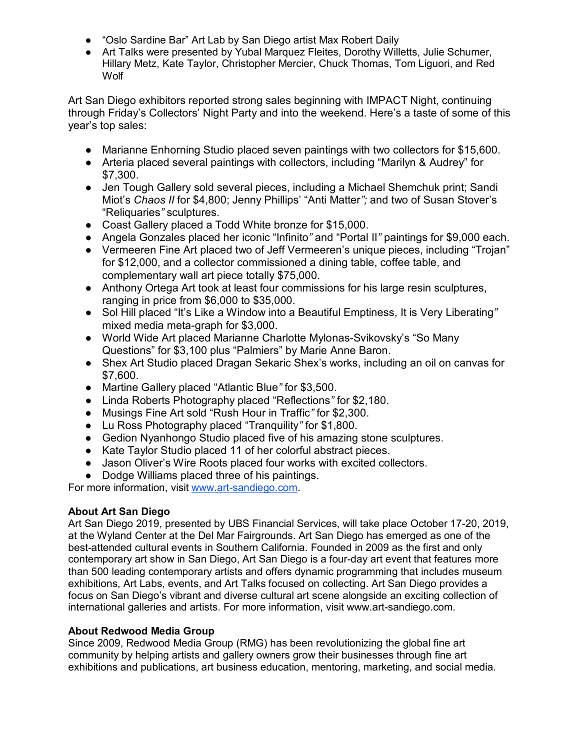- "Oslo Sardine Bar" Art Lab by San Diego artist Max Robert Daily
- Art Talks were presented by Yubal Marquez Fleites, Dorothy Willetts, Julie Schumer, Hillary Metz, Kate Taylor, Christopher Mercier, Chuck Thomas, Tom Liguori, and Red Wolf

Art San Diego exhibitors reported strong sales beginning with IMPACT Night, continuing through Friday's Collectors' Night Party and into the weekend. Here's a taste of some of this year's top sales:

- Marianne Enhorning Studio placed seven paintings with two collectors for \$15,600.
- Arteria placed several paintings with collectors, including "Marilyn & Audrey" for \$7,300.
- Jen Tough Gallery sold several pieces, including a Michael Shemchuk print; Sandi Miot's *Chaos II* for \$4,800; Jenny Phillips' "Anti Matter*";* and two of Susan Stover's "Reliquaries*"* sculptures.
- Coast Gallery placed a Todd White bronze for \$15,000.
- Angela Gonzales placed her iconic "Infinito*"* and "Portal II*"* paintings for \$9,000 each.
- Vermeeren Fine Art placed two of Jeff Vermeeren's unique pieces, including "Trojan" for \$12,000, and a collector commissioned a dining table, coffee table, and complementary wall art piece totally \$75,000.
- Anthony Ortega Art took at least four commissions for his large resin sculptures, ranging in price from \$6,000 to \$35,000.
- Sol Hill placed "It's Like a Window into a Beautiful Emptiness, It is Very Liberating*"* mixed media meta-graph for \$3,000.
- World Wide Art placed Marianne Charlotte Mylonas-Svikovsky's "So Many Questions" for \$3,100 plus "Palmiers" by Marie Anne Baron.
- Shex Art Studio placed Dragan Sekaric Shex's works, including an oil on canvas for \$7,600.
- Martine Gallery placed "Atlantic Blue*"* for \$3,500.
- Linda Roberts Photography placed "Reflections*"* for \$2,180.
- Musings Fine Art sold "Rush Hour in Traffic*"* for \$2,300.
- Lu Ross Photography placed "Tranquility*"* for \$1,800.
- Gedion Nyanhongo Studio placed five of his amazing stone sculptures.
- Kate Taylor Studio placed 11 of her colorful abstract pieces.
- Jason Oliver's Wire Roots placed four works with excited collectors.
- Dodge Williams placed three of his paintings.

For more information, visit [www.art-sandiego.com.](http://www.art-sandiego.com/)

## **About Art San Diego**

Art San Diego 2019, presented by UBS Financial Services, will take place October 17-20, 2019, at the Wyland Center at the Del Mar Fairgrounds. Art San Diego has emerged as one of the best-attended cultural events in Southern California. Founded in 2009 as the first and only contemporary art show in San Diego, Art San Diego is a four-day art event that features more than 500 leading contemporary artists and offers dynamic programming that includes museum exhibitions, Art Labs, events, and Art Talks focused on collecting. Art San Diego provides a focus on San Diego's vibrant and diverse cultural art scene alongside an exciting collection of international galleries and artists. For more information, visit www.art-sandiego.com.

## **About Redwood Media Group**

Since 2009, Redwood Media Group (RMG) has been revolutionizing the global fine art community by helping artists and gallery owners grow their businesses through fine art exhibitions and publications, art business education, mentoring, marketing, and social media.